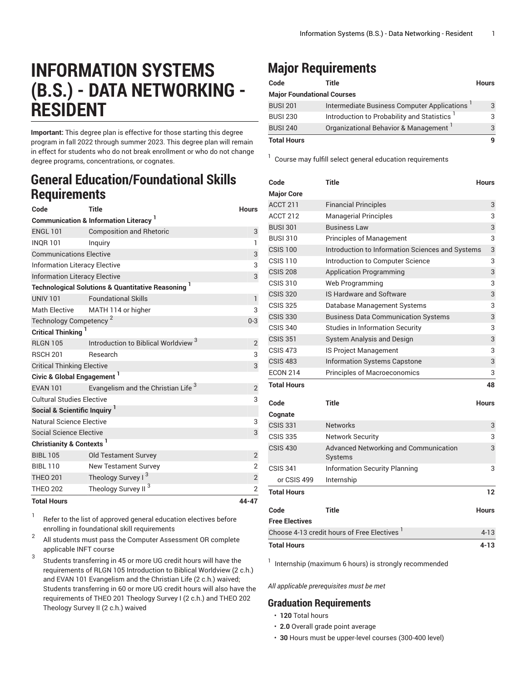# **INFORMATION SYSTEMS (B.S.) - DATA NETWORKING - RESIDENT**

**Important:** This degree plan is effective for those starting this degree program in fall 2022 through summer 2023. This degree plan will remain in effect for students who do not break enrollment or who do not change degree programs, concentrations, or cognates.

### **General Education/Foundational Skills Requirements**

| Code                                                          | Title                                           | <b>Hours</b>            |  |  |
|---------------------------------------------------------------|-------------------------------------------------|-------------------------|--|--|
| <b>Communication &amp; Information Literacy</b> <sup>1</sup>  |                                                 |                         |  |  |
| <b>ENGL 101</b>                                               | <b>Composition and Rhetoric</b>                 | 3                       |  |  |
| <b>INQR101</b>                                                | Inquiry                                         | $\mathbf{1}$            |  |  |
| <b>Communications Elective</b>                                | 3                                               |                         |  |  |
| <b>Information Literacy Elective</b>                          | 3                                               |                         |  |  |
| <b>Information Literacy Elective</b>                          | 3                                               |                         |  |  |
| <b>Technological Solutions &amp; Quantitative Reasoning 1</b> |                                                 |                         |  |  |
| <b>UNIV 101</b>                                               | <b>Foundational Skills</b>                      | 1                       |  |  |
| <b>Math Elective</b>                                          | MATH 114 or higher                              | 3                       |  |  |
| Technology Competency <sup>2</sup>                            | $0 - 3$                                         |                         |  |  |
| <b>Critical Thinking</b>                                      |                                                 |                         |  |  |
| <b>RLGN 105</b>                                               | Introduction to Biblical Worldview <sup>3</sup> | 2                       |  |  |
| <b>RSCH 201</b>                                               | Research                                        | 3                       |  |  |
| <b>Critical Thinking Elective</b>                             | 3                                               |                         |  |  |
| Civic & Global Engagement <sup>1</sup>                        |                                                 |                         |  |  |
| <b>EVAN 101</b>                                               | Evangelism and the Christian Life <sup>3</sup>  | $\overline{2}$          |  |  |
| <b>Cultural Studies Elective</b>                              |                                                 |                         |  |  |
| Social & Scientific Inquiry <sup>1</sup>                      |                                                 |                         |  |  |
| Natural Science Elective                                      |                                                 |                         |  |  |
| Social Science Elective                                       |                                                 | 3                       |  |  |
| Christianity & Contexts <sup>1</sup>                          |                                                 |                         |  |  |
| <b>BIBL 105</b>                                               | <b>Old Testament Survey</b>                     | $\overline{2}$          |  |  |
| <b>BIBL 110</b>                                               | <b>New Testament Survey</b>                     | $\overline{2}$          |  |  |
| <b>THEO 201</b>                                               | Theology Survey I <sup>3</sup>                  | $\overline{\mathbf{c}}$ |  |  |
| <b>THEO 202</b>                                               | Theology Survey II <sup>3</sup>                 | $\overline{2}$          |  |  |
| <b>Total Hours</b>                                            | 44-47                                           |                         |  |  |

1 Refer to the list of approved general [education](https://www.liberty.edu/gened/) electives before enrolling in foundational skill requirements

2 All students must pass the [Computer Assessment](https://www.liberty.edu/computerassessment/) OR complete applicable INFT course

3 Students transferring in 45 or more UG credit hours will have the requirements of RLGN 105 Introduction to Biblical Worldview (2 c.h.) and EVAN 101 Evangelism and the Christian Life (2 c.h.) waived; Students transferring in 60 or more UG credit hours will also have the requirements of THEO 201 Theology Survey I (2 c.h.) and THEO 202 Theology Survey II (2 c.h.) waived

## **Major Requirements**

| Code                              | Title                                                   | <b>Hours</b> |
|-----------------------------------|---------------------------------------------------------|--------------|
| <b>Major Foundational Courses</b> |                                                         |              |
| <b>BUSI 201</b>                   | Intermediate Business Computer Applications             | 3            |
| <b>BUSI 230</b>                   | Introduction to Probability and Statistics <sup>1</sup> |              |
| <b>BUSI 240</b>                   | Organizational Behavior & Management                    |              |
| <b>Total Hours</b>                |                                                         |              |

<sup>1</sup> Course may fulfill select general education [requirements](http://www.liberty.edu/academics/generalstudies/?PID=37563)

| Code                  | <b>Title</b>                                            | <b>Hours</b> |
|-----------------------|---------------------------------------------------------|--------------|
| <b>Major Core</b>     |                                                         |              |
| ACCT 211              | <b>Financial Principles</b>                             | 3            |
| ACCT 212              | <b>Managerial Principles</b>                            | 3            |
| <b>BUSI 301</b>       | <b>Business Law</b>                                     | 3            |
| <b>BUSI 310</b>       | <b>Principles of Management</b>                         | 3            |
| <b>CSIS 100</b>       | Introduction to Information Sciences and Systems        | 3            |
| <b>CSIS 110</b>       | Introduction to Computer Science                        | 3            |
| <b>CSIS 208</b>       | <b>Application Programming</b>                          | 3            |
| <b>CSIS 310</b>       | Web Programming                                         | 3            |
| <b>CSIS 320</b>       | IS Hardware and Software                                | 3            |
| <b>CSIS 325</b>       | Database Management Systems                             | 3            |
| <b>CSIS 330</b>       | <b>Business Data Communication Systems</b>              | 3            |
| <b>CSIS 340</b>       | <b>Studies in Information Security</b>                  | 3            |
| <b>CSIS 351</b>       | System Analysis and Design                              | 3            |
| <b>CSIS 473</b>       | <b>IS Project Management</b>                            | 3            |
| <b>CSIS 483</b>       | <b>Information Systems Capstone</b>                     | 3            |
| <b>ECON 214</b>       | Principles of Macroeconomics                            | 3            |
| <b>Total Hours</b>    |                                                         | 48           |
| Code                  | Title                                                   | Hours        |
| Cognate               |                                                         |              |
| <b>CSIS 331</b>       | <b>Networks</b>                                         | 3            |
| <b>CSIS 335</b>       | <b>Network Security</b>                                 | 3            |
| <b>CSIS 430</b>       | Advanced Networking and Communication<br>Systems        | 3            |
| <b>CSIS 341</b>       | <b>Information Security Planning</b>                    | 3            |
| or CSIS 499           | Internship                                              |              |
| <b>Total Hours</b>    |                                                         | 12           |
| Code                  | Title                                                   | <b>Hours</b> |
| <b>Free Electives</b> |                                                         |              |
|                       | Choose 4-13 credit hours of Free Electives <sup>1</sup> | $4 - 13$     |
| <b>Total Hours</b>    |                                                         | 4-13         |

<sup>1</sup> Internship (maximum 6 hours) is strongly recommended

*All applicable prerequisites must be met*

### **Graduation Requirements**

- **120** Total hours
- **2.0** Overall grade point average
- **30** Hours must be upper-level courses (300-400 level)